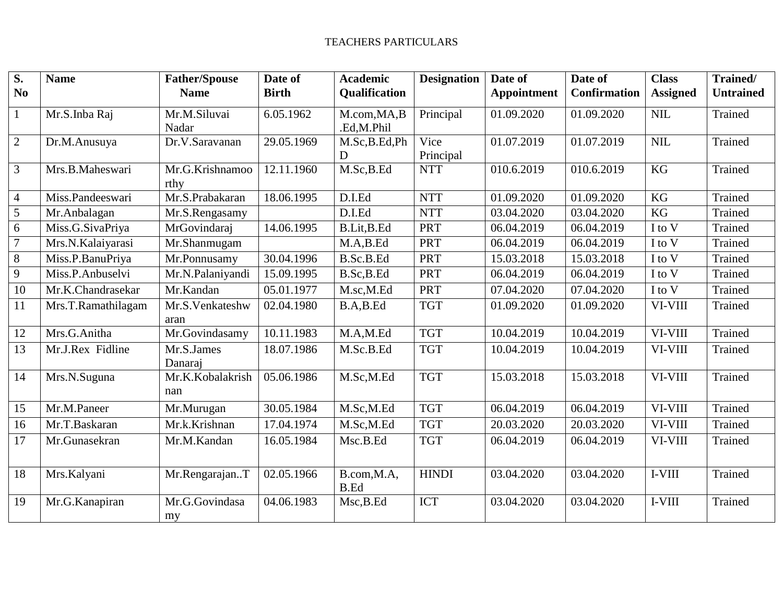| $\overline{\mathbf{S}}$ .<br>N <sub>0</sub> | <b>Name</b>        | <b>Father/Spouse</b><br><b>Name</b> | Date of<br><b>Birth</b> | <b>Academic</b><br>Qualification | <b>Designation</b> | Date of<br><b>Appointment</b> | Date of<br><b>Confirmation</b> | <b>Class</b><br><b>Assigned</b> | Trained/<br><b>Untrained</b> |
|---------------------------------------------|--------------------|-------------------------------------|-------------------------|----------------------------------|--------------------|-------------------------------|--------------------------------|---------------------------------|------------------------------|
| $\mathbf{1}$                                | Mr.S.Inba Raj      | Mr.M.Siluvai<br>Nadar               | 6.05.1962               | M.com, MA, B<br>.Ed,M.Phil       | Principal          | 01.09.2020                    | 01.09.2020                     | <b>NIL</b>                      | Trained                      |
| $\overline{2}$                              | Dr.M.Anusuya       | Dr.V.Saravanan                      | 29.05.1969              | M.Sc,B.Ed,Ph<br>D                | Vice<br>Principal  | 01.07.2019                    | 01.07.2019                     | <b>NIL</b>                      | Trained                      |
| 3                                           | Mrs.B.Maheswari    | Mr.G.Krishnamoo<br>rthy             | 12.11.1960              | M.Sc,B.Ed                        | <b>NTT</b>         | 010.6.2019                    | 010.6.2019                     | KG                              | Trained                      |
| $\overline{4}$                              | Miss.Pandeeswari   | Mr.S.Prabakaran                     | 18.06.1995              | D.I.Ed                           | <b>NTT</b>         | 01.09.2020                    | 01.09.2020                     | KG                              | Trained                      |
| 5                                           | Mr.Anbalagan       | Mr.S.Rengasamy                      |                         | D.I.Ed                           | <b>NTT</b>         | 03.04.2020                    | 03.04.2020                     | <b>KG</b>                       | Trained                      |
| 6                                           | Miss.G.SivaPriya   | MrGovindaraj                        | 14.06.1995              | B.Lit, B.Ed                      | <b>PRT</b>         | 06.04.2019                    | 06.04.2019                     | I to V                          | Trained                      |
| $\overline{7}$                              | Mrs.N.Kalaiyarasi  | Mr.Shanmugam                        |                         | M.A.B.Ed                         | <b>PRT</b>         | 06.04.2019                    | 06.04.2019                     | I to V                          | Trained                      |
| 8                                           | Miss.P.BanuPriya   | Mr.Ponnusamy                        | 30.04.1996              | B.Sc.B.Ed                        | <b>PRT</b>         | 15.03.2018                    | 15.03.2018                     | I to V                          | Trained                      |
| 9                                           | Miss.P.Anbuselvi   | Mr.N.Palaniyandi                    | 15.09.1995              | B.Sc, B.Ed                       | <b>PRT</b>         | 06.04.2019                    | 06.04.2019                     | I to V                          | Trained                      |
| 10                                          | Mr.K.Chandrasekar  | Mr.Kandan                           | 05.01.1977              | M.sc,M.Ed                        | <b>PRT</b>         | 07.04.2020                    | 07.04.2020                     | I to V                          | Trained                      |
| 11                                          | Mrs.T.Ramathilagam | Mr.S.Venkateshw<br>aran             | 02.04.1980              | B.A,B.Ed                         | <b>TGT</b>         | 01.09.2020                    | 01.09.2020                     | VI-VIII                         | Trained                      |
| 12                                          | Mrs.G.Anitha       | Mr.Govindasamy                      | 10.11.1983              | M.A,M.Ed                         | <b>TGT</b>         | 10.04.2019                    | 10.04.2019                     | VI-VIII                         | Trained                      |
| 13                                          | Mr.J.Rex Fidline   | Mr.S.James<br>Danaraj               | 18.07.1986              | M.Sc.B.Ed                        | <b>TGT</b>         | 10.04.2019                    | 10.04.2019                     | VI-VIII                         | Trained                      |
| 14                                          | Mrs.N.Suguna       | Mr.K.Kobalakrish<br>nan             | 05.06.1986              | M.Sc,M.Ed                        | <b>TGT</b>         | 15.03.2018                    | 15.03.2018                     | VI-VIII                         | Trained                      |
| 15                                          | Mr.M.Paneer        | Mr.Murugan                          | 30.05.1984              | M.Sc,M.Ed                        | <b>TGT</b>         | 06.04.2019                    | 06.04.2019                     | VI-VIII                         | Trained                      |
| 16                                          | Mr.T.Baskaran      | Mr.k.Krishnan                       | 17.04.1974              | M.Sc,M.Ed                        | <b>TGT</b>         | 20.03.2020                    | 20.03.2020                     | VI-VIII                         | Trained                      |
| 17                                          | Mr.Gunasekran      | Mr.M.Kandan                         | 16.05.1984              | Msc.B.Ed                         | <b>TGT</b>         | 06.04.2019                    | 06.04.2019                     | VI-VIII                         | Trained                      |
| 18                                          | Mrs.Kalyani        | Mr.RengarajanT                      | 02.05.1966              | B.com, M.A,<br><b>B.Ed</b>       | <b>HINDI</b>       | 03.04.2020                    | 03.04.2020                     | I-VIII                          | Trained                      |
| 19                                          | Mr.G.Kanapiran     | Mr.G.Govindasa<br>my                | 04.06.1983              | Msc, B.Ed                        | <b>ICT</b>         | 03.04.2020                    | 03.04.2020                     | I-VIII                          | Trained                      |